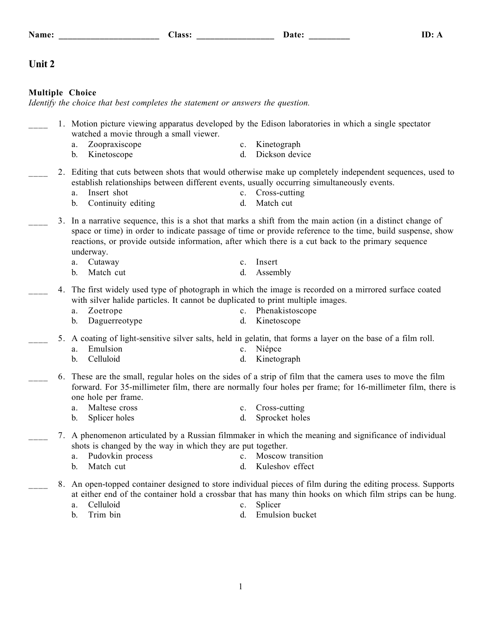| ____________________________ | .<br>________________ | .<br>___________ |  |
|------------------------------|-----------------------|------------------|--|
|                              |                       |                  |  |

# **Unit 2**

# **Multiple Choice**

*Identify the choice that best completes the statement or answers the question.*

| 1. Motion picture viewing apparatus developed by the Edison laboratories in which a single spectator<br>watched a movie through a small viewer. |                                                                                                                                                                                                                                                                                                                                           |  |  |  |
|-------------------------------------------------------------------------------------------------------------------------------------------------|-------------------------------------------------------------------------------------------------------------------------------------------------------------------------------------------------------------------------------------------------------------------------------------------------------------------------------------------|--|--|--|
|                                                                                                                                                 | Zoopraxiscope<br>Kinetograph<br>a.<br>$c_{\cdot}$                                                                                                                                                                                                                                                                                         |  |  |  |
|                                                                                                                                                 | Dickson device<br>Kinetoscope<br>d.<br>b.                                                                                                                                                                                                                                                                                                 |  |  |  |
|                                                                                                                                                 | 2. Editing that cuts between shots that would otherwise make up completely independent sequences, used to<br>establish relationships between different events, usually occurring simultaneously events.<br>Insert shot<br>c. Cross-cutting<br>a.                                                                                          |  |  |  |
|                                                                                                                                                 | Continuity editing<br>Match cut<br>$\mathbf b$ .<br>d.                                                                                                                                                                                                                                                                                    |  |  |  |
| 3.                                                                                                                                              | In a narrative sequence, this is a shot that marks a shift from the main action (in a distinct change of<br>space or time) in order to indicate passage of time or provide reference to the time, build suspense, show<br>reactions, or provide outside information, after which there is a cut back to the primary sequence<br>underway. |  |  |  |
|                                                                                                                                                 | Cutaway<br>Insert<br>a.<br>c.                                                                                                                                                                                                                                                                                                             |  |  |  |
|                                                                                                                                                 | Match cut<br>Assembly<br>d.<br>$\mathbf{b}$ .                                                                                                                                                                                                                                                                                             |  |  |  |
| 4.                                                                                                                                              | The first widely used type of photograph in which the image is recorded on a mirrored surface coated<br>with silver halide particles. It cannot be duplicated to print multiple images.<br>Zoetrope<br>Phenakistoscope<br>$c_{\cdot}$<br>a.<br>Daguerreotype<br>Kinetoscope<br>b.<br>d.                                                   |  |  |  |
| 5.                                                                                                                                              | A coating of light-sensitive silver salts, held in gelatin, that forms a layer on the base of a film roll.<br>Emulsion<br>Niépce<br>a.<br>$c_{-}$<br>Celluloid<br>Kinetograph<br>b.<br>d.                                                                                                                                                 |  |  |  |
| 6.                                                                                                                                              | These are the small, regular holes on the sides of a strip of film that the camera uses to move the film<br>forward. For 35-millimeter film, there are normally four holes per frame; for 16-millimeter film, there is<br>one hole per frame.                                                                                             |  |  |  |
|                                                                                                                                                 | a. Maltese cross<br>Cross-cutting<br>$c_{\cdot}$                                                                                                                                                                                                                                                                                          |  |  |  |
|                                                                                                                                                 | Sprocket holes<br>Splicer holes<br>d.<br>$b_{1}$                                                                                                                                                                                                                                                                                          |  |  |  |
|                                                                                                                                                 | 7. A phenomenon articulated by a Russian filmmaker in which the meaning and significance of individual<br>shots is changed by the way in which they are put together.                                                                                                                                                                     |  |  |  |
|                                                                                                                                                 | Pudovkin process<br>Moscow transition<br>a.<br>$c_{\cdot}$<br>Match cut<br>Kuleshov effect<br>b.<br>d.                                                                                                                                                                                                                                    |  |  |  |
| 8.                                                                                                                                              | An open-topped container designed to store individual pieces of film during the editing process. Supports<br>at either end of the container hold a crossbar that has many thin hooks on which film strips can be hung.<br>Celluloid<br>Splicer<br>a.<br>c.                                                                                |  |  |  |
|                                                                                                                                                 | Trim bin<br><b>Emulsion</b> bucket<br>d.<br>b.                                                                                                                                                                                                                                                                                            |  |  |  |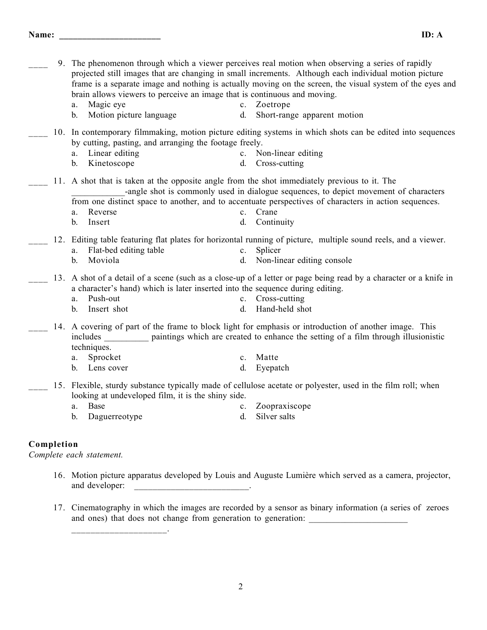**Name: \_\_\_\_\_\_\_\_\_\_\_\_\_\_\_\_\_\_\_\_\_\_ ID: A**

\_\_\_\_ 9. The phenomenon through which a viewer perceives real motion when observing a series of rapidly projected still images that are changing in small increments. Although each individual motion picture frame is a separate image and nothing is actually moving on the screen, the visual system of the eyes and brain allows viewers to perceive an image that is continuous and moving. a. Magic eye c. Zoetrope b. Motion picture language d. Short-range apparent motion \_\_\_\_ 10. In contemporary filmmaking, motion picture editing systems in which shots can be edited into sequences by cutting, pasting, and arranging the footage freely. a. Linear editing c. Non-linear editing b. Kinetoscope d. Cross-cutting \_\_\_\_ 11. A shot that is taken at the opposite angle from the shot immediately previous to it. The -angle shot is commonly used in dialogue sequences, to depict movement of characters from one distinct space to another, and to accentuate perspectives of characters in action sequences. a. Reverse c. Crane b. Insert d. Continuity \_\_\_\_ 12. Editing table featuring flat plates for horizontal running of picture, multiple sound reels, and a viewer. a. Flat-bed editing table c. Splicer b. Moviola d. Non-linear editing console \_\_\_\_ 13. A shot of a detail of a scene (such as a close-up of a letter or page being read by a character or a knife in a character's hand) which is later inserted into the sequence during editing. a. Push-out c. Cross-cutting b. Insert shot d. Hand-held shot 14. A covering of part of the frame to block light for emphasis or introduction of another image. This includes paintings which are created to enhance the setting of a film through illusionistic techniques. a. Sprocket c. Matte b. Lens cover d. Eyepatch \_\_\_\_ 15. Flexible, sturdy substance typically made of cellulose acetate or polyester, used in the film roll; when looking at undeveloped film, it is the shiny side. a. Base c. Zoopraxiscope b. Daguerreotype d. Silver salts

## **Completion**

*Complete each statement.*

\_\_\_\_\_\_\_\_\_\_\_\_\_\_\_\_\_\_\_\_.

- 16. Motion picture apparatus developed by Louis and Auguste Lumière which served as a camera, projector, and developer: \_\_\_\_\_\_\_\_\_\_\_\_\_\_\_\_\_\_\_\_\_\_\_\_\_.
- 17. Cinematography in which the images are recorded by a sensor as binary information (a series of zeroes and ones) that does not change from generation to generation: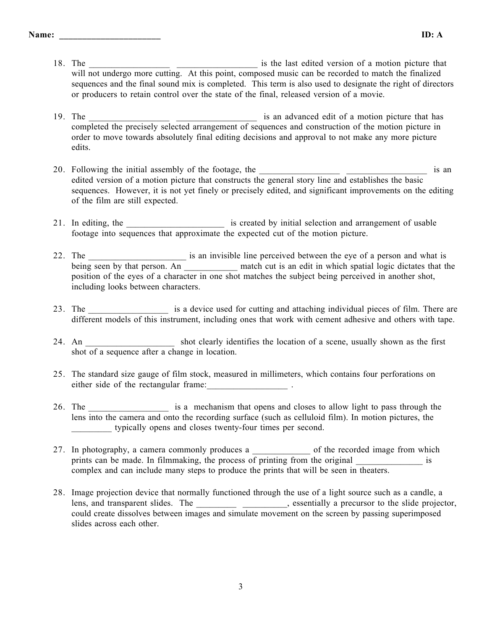- 18. The \_\_\_\_\_\_\_\_\_\_\_\_\_\_\_\_\_\_ \_\_\_\_\_\_\_\_\_\_\_\_\_\_\_\_\_\_ is the last edited version of a motion picture that will not undergo more cutting. At this point, composed music can be recorded to match the finalized sequences and the final sound mix is completed. This term is also used to designate the right of directors or producers to retain control over the state of the final, released version of a movie.
- 19. The is an advanced edit of a motion picture that has completed the precisely selected arrangement of sequences and construction of the motion picture in order to move towards absolutely final editing decisions and approval to not make any more picture edits.
- 20. Following the initial assembly of the footage, the \_\_\_\_\_\_\_\_\_\_\_\_\_\_\_\_\_\_ \_\_\_\_\_\_\_\_\_\_\_\_\_\_\_\_\_\_ is an edited version of a motion picture that constructs the general story line and establishes the basic sequences. However, it is not yet finely or precisely edited, and significant improvements on the editing of the film are still expected.
- 21. In editing, the \_\_\_\_\_\_\_\_\_\_\_\_\_\_\_\_\_\_\_\_\_\_\_\_\_ is created by initial selection and arrangement of usable footage into sequences that approximate the expected cut of the motion picture.
- 22. The \_\_\_\_\_\_\_\_\_\_\_\_\_\_\_\_\_\_\_\_\_\_\_\_\_\_\_\_\_\_\_\_ is an invisible line perceived between the eye of a person and what is being seen by that person. An \_\_\_\_\_\_\_\_\_\_\_\_\_ match cut is an edit in which spatial logic dictates that the position of the eyes of a character in one shot matches the subject being perceived in another shot, including looks between characters.
- 23. The \_\_\_\_\_\_\_\_\_\_\_\_\_\_\_\_\_\_\_\_\_ is a device used for cutting and attaching individual pieces of film. There are different models of this instrument, including ones that work with cement adhesive and others with tape.
- 24. An shot clearly identifies the location of a scene, usually shown as the first shot of a sequence after a change in location.
- 25. The standard size gauge of film stock, measured in millimeters, which contains four perforations on either side of the rectangular frame:
- 26. The \_\_\_\_\_\_\_\_\_\_\_\_\_\_\_\_\_\_\_\_\_\_\_ is a mechanism that opens and closes to allow light to pass through the lens into the camera and onto the recording surface (such as celluloid film). In motion pictures, the \_\_\_\_\_\_\_\_\_ typically opens and closes twenty-four times per second.
- 27. In photography, a camera commonly produces a \_\_\_\_\_\_\_\_\_\_\_\_\_\_ of the recorded image from which prints can be made. In filmmaking, the process of printing from the original is complex and can include many steps to produce the prints that will be seen in theaters.
- 28. Image projection device that normally functioned through the use of a light source such as a candle, a lens, and transparent slides. The \_\_\_\_\_\_\_\_\_\_\_\_\_\_\_\_\_\_\_\_\_, essentially a precursor to the slide projector, could create dissolves between images and simulate movement on the screen by passing superimposed slides across each other.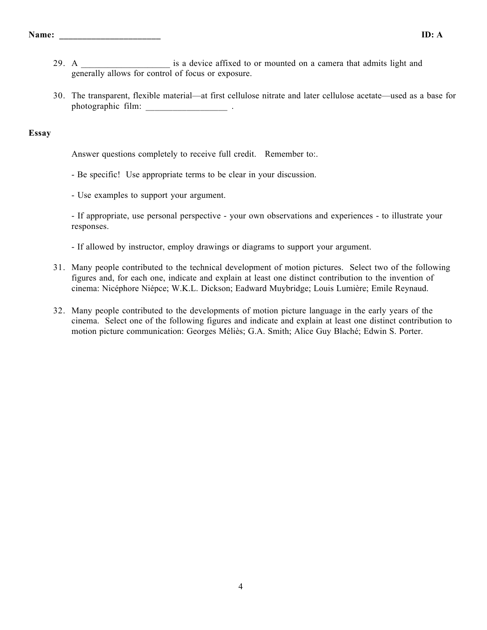- 29. A  $\blacksquare$  is a device affixed to or mounted on a camera that admits light and generally allows for control of focus or exposure.
- 30. The transparent, flexible material—at first cellulose nitrate and later cellulose acetate—used as a base for photographic film:

## **Essay**

Answer questions completely to receive full credit. Remember to:.

- Be specific! Use appropriate terms to be clear in your discussion.
- Use examples to support your argument.

- If appropriate, use personal perspective - your own observations and experiences - to illustrate your responses.

- If allowed by instructor, employ drawings or diagrams to support your argument.
- 31. Many people contributed to the technical development of motion pictures. Select two of the following figures and, for each one, indicate and explain at least one distinct contribution to the invention of cinema: Nicéphore Niépce; W.K.L. Dickson; Eadward Muybridge; Louis Lumière; Emile Reynaud.
- 32. Many people contributed to the developments of motion picture language in the early years of the cinema. Select one of the following figures and indicate and explain at least one distinct contribution to motion picture communication: Georges Méliès; G.A. Smith; Alice Guy Blaché; Edwin S. Porter.